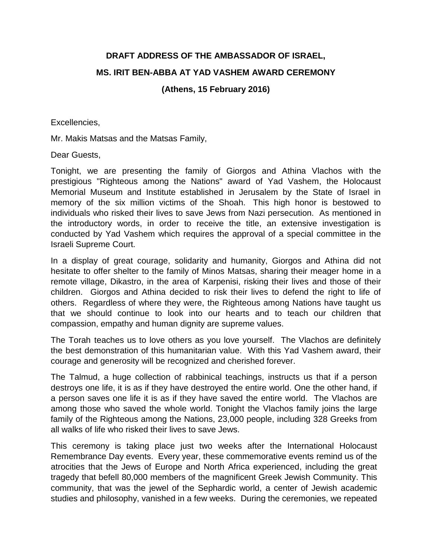## **DRAFT ADDRESS OF THE AMBASSADOR OF ISRAEL, MS. IRIT BEN-ABBA AT YAD VASHEM AWARD CEREMONY**

## **(Athens, 15 February 2016)**

Excellencies,

Mr. Makis Matsas and the Matsas Family,

Dear Guests,

Tonight, we are presenting the family of Giorgos and Athina Vlachos with the prestigious "Righteous among the Nations" award of Yad Vashem, the Holocaust Memorial Museum and Institute established in Jerusalem by the State of Israel in memory of the six million victims of the Shoah. This high honor is bestowed to individuals who risked their lives to save Jews from Nazi persecution. As mentioned in the introductory words, in order to receive the title, an extensive investigation is conducted by Yad Vashem which requires the approval of a special committee in the Israeli Supreme Court.

In a display of great courage, solidarity and humanity, Giorgos and Athina did not hesitate to offer shelter to the family of Minos Matsas, sharing their meager home in a remote village, Dikastro, in the area of Karpenisi, risking their lives and those of their children. Giorgos and Athina decided to risk their lives to defend the right to life of others.Regardless of where they were, the Righteous among Nations have taught us that we should continue to look into our hearts and to teach our children that compassion, empathy and human dignity are supreme values.

The Torah teaches us to love others as you love yourself. The Vlachos are definitely the best demonstration of this humanitarian value. With this Yad Vashem award, their courage and generosity will be recognized and cherished forever.

The Talmud, a huge collection of rabbinical teachings, instructs us that if a person destroys one life, it is as if they have destroyed the entire world. One the other hand, if a person saves one life it is as if they have saved the entire world. The Vlachos are among those who saved the whole world. Tonight the Vlachos family joins the large family of the Righteous among the Nations, 23,000 people, including 328 Greeks from all walks of life who risked their lives to save Jews.

This ceremony is taking place just two weeks after the International Holocaust Remembrance Day events. Every year, these commemorative events remind us of the atrocities that the Jews of Europe and North Africa experienced, including the great tragedy that befell 80,000 members of the magnificent Greek Jewish Community. This community, that was the jewel of the Sephardic world, a center of Jewish academic studies and philosophy, vanished in a few weeks. During the ceremonies, we repeated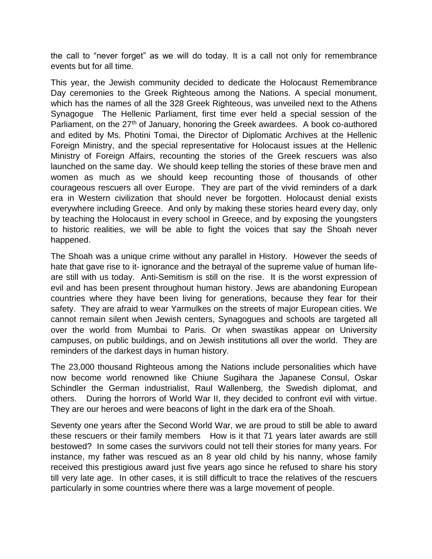the call to "never forget" as we will do today. It is a call not only for remembrance events but for all time.

This year, the Jewish community decided to dedicate the Holocaust Remembrance Day ceremonies to the Greek Righteous among the Nations. A special monument, which has the names of all the 328 Greek Righteous, was unveiled next to the Athens Synagogue The Hellenic Parliament, first time ever held a special session of the Parliament, on the 27<sup>th</sup> of January, honoring the Greek awardees. A book co-authored and edited by Ms. Photini Tomai, the Director of Diplomatic Archives at the Hellenic Foreign Ministry, and the special representative for Holocaust issues at the Hellenic Ministry of Foreign Affairs, recounting the stories of the Greek rescuers was also launched on the same day. We should keep telling the stories of these brave men and women as much as we should keep recounting those of thousands of other courageous rescuers all over Europe. They are part of the vivid reminders of a dark era in Western civilization that should never be forgotten. Holocaust denial exists everywhere including Greece. And only by making these stories heard every day, only by teaching the Holocaust in every school in Greece, and by exposing the youngsters to historic realities, we will be able to fight the voices that say the Shoah never happened.

The Shoah was a unique crime without any parallel in History. However the seeds of hate that gave rise to it- ignorance and the betrayal of the supreme value of human lifeare still with us today. Anti-Semitism is still on the rise. It is the worst expression of evil and has been present throughout human history. Jews are abandoning European countries where they have been living for generations, because they fear for their safety. They are afraid to wear Yarmulkes on the streets of major European cities. We cannot remain silent when Jewish centers, Synagogues and schools are targeted all over the world from Mumbai to Paris. Or when swastikas appear on University campuses, on public buildings, and on Jewish institutions all over the world. They are reminders of the darkest days in human history.

The 23,000 thousand Righteous among the Nations include personalities which have now become world renowned like Chiune Sugihara the Japanese Consul, Oskar Schindler the German industrialist, Raul Wallenberg, the Swedish diplomat, and others. During the horrors of World War II, they decided to confront evil with virtue. They are our heroes and were beacons of light in the dark era of the Shoah.

Seventy one years after the Second World War, we are proud to still be able to award these rescuers or their family members How is it that 71 years later awards are still bestowed? In some cases the survivors could not tell their stories for many years. For instance, my father was rescued as an 8 year old child by his nanny, whose family received this prestigious award just five years ago since he refused to share his story till very late age. In other cases, it is still difficult to trace the relatives of the rescuers particularly in some countries where there was a large movement of people.